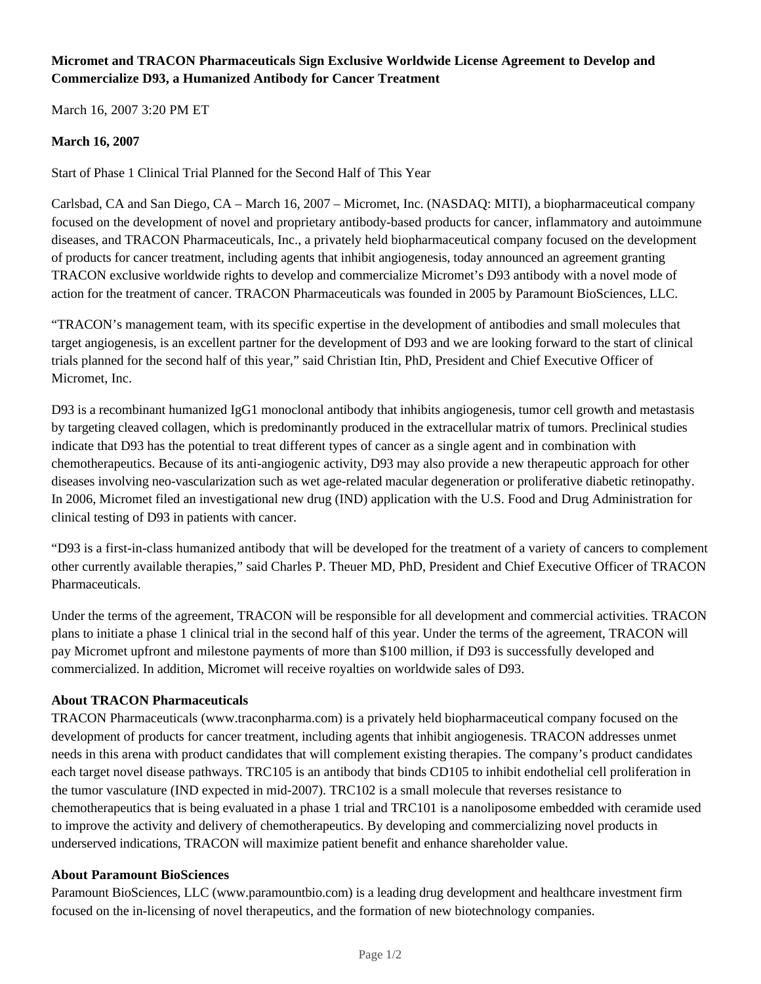# **Micromet and TRACON Pharmaceuticals Sign Exclusive Worldwide License Agreement to Develop and Commercialize D93, a Humanized Antibody for Cancer Treatment**

March 16, 2007 3:20 PM ET

## **March 16, 2007**

Start of Phase 1 Clinical Trial Planned for the Second Half of This Year

Carlsbad, CA and San Diego, CA – March 16, 2007 – Micromet, Inc. (NASDAQ: MITI), a biopharmaceutical company focused on the development of novel and proprietary antibody-based products for cancer, inflammatory and autoimmune diseases, and TRACON Pharmaceuticals, Inc., a privately held biopharmaceutical company focused on the development of products for cancer treatment, including agents that inhibit angiogenesis, today announced an agreement granting TRACON exclusive worldwide rights to develop and commercialize Micromet's D93 antibody with a novel mode of action for the treatment of cancer. TRACON Pharmaceuticals was founded in 2005 by Paramount BioSciences, LLC.

"TRACON's management team, with its specific expertise in the development of antibodies and small molecules that target angiogenesis, is an excellent partner for the development of D93 and we are looking forward to the start of clinical trials planned for the second half of this year," said Christian Itin, PhD, President and Chief Executive Officer of Micromet, Inc.

D93 is a recombinant humanized IgG1 monoclonal antibody that inhibits angiogenesis, tumor cell growth and metastasis by targeting cleaved collagen, which is predominantly produced in the extracellular matrix of tumors. Preclinical studies indicate that D93 has the potential to treat different types of cancer as a single agent and in combination with chemotherapeutics. Because of its anti-angiogenic activity, D93 may also provide a new therapeutic approach for other diseases involving neo-vascularization such as wet age-related macular degeneration or proliferative diabetic retinopathy. In 2006, Micromet filed an investigational new drug (IND) application with the U.S. Food and Drug Administration for clinical testing of D93 in patients with cancer.

"D93 is a first-in-class humanized antibody that will be developed for the treatment of a variety of cancers to complement other currently available therapies," said Charles P. Theuer MD, PhD, President and Chief Executive Officer of TRACON Pharmaceuticals.

Under the terms of the agreement, TRACON will be responsible for all development and commercial activities. TRACON plans to initiate a phase 1 clinical trial in the second half of this year. Under the terms of the agreement, TRACON will pay Micromet upfront and milestone payments of more than \$100 million, if D93 is successfully developed and commercialized. In addition, Micromet will receive royalties on worldwide sales of D93.

## **About TRACON Pharmaceuticals**

TRACON Pharmaceuticals (www.traconpharma.com) is a privately held biopharmaceutical company focused on the development of products for cancer treatment, including agents that inhibit angiogenesis. TRACON addresses unmet needs in this arena with product candidates that will complement existing therapies. The company's product candidates each target novel disease pathways. TRC105 is an antibody that binds CD105 to inhibit endothelial cell proliferation in the tumor vasculature (IND expected in mid-2007). TRC102 is a small molecule that reverses resistance to chemotherapeutics that is being evaluated in a phase 1 trial and TRC101 is a nanoliposome embedded with ceramide used to improve the activity and delivery of chemotherapeutics. By developing and commercializing novel products in underserved indications, TRACON will maximize patient benefit and enhance shareholder value.

#### **About Paramount BioSciences**

Paramount BioSciences, LLC (www.paramountbio.com) is a leading drug development and healthcare investment firm focused on the in-licensing of novel therapeutics, and the formation of new biotechnology companies.